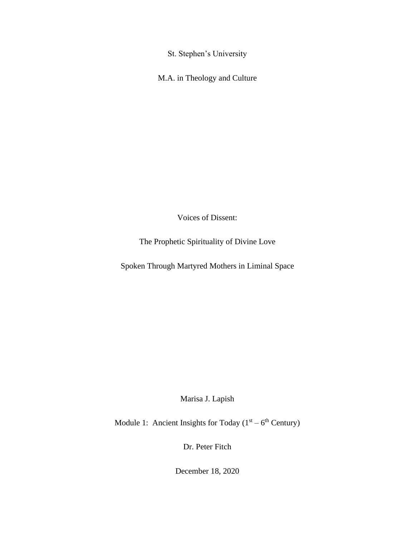St. Stephen's University

M.A. in Theology and Culture

Voices of Dissent:

The Prophetic Spirituality of Divine Love

Spoken Through Martyred Mothers in Liminal Space

Marisa J. Lapish

Module 1: Ancient Insights for Today  $(1<sup>st</sup> – 6<sup>th</sup> Century)$ 

Dr. Peter Fitch

December 18, 2020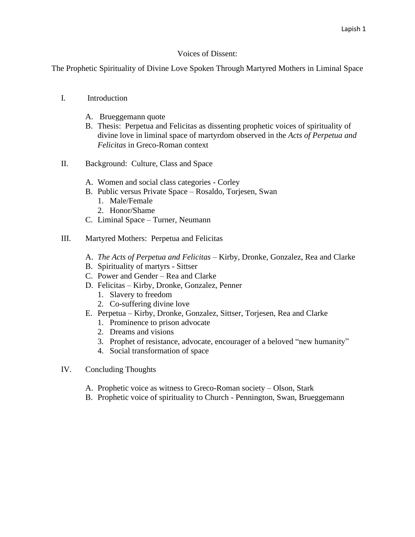# Voices of Dissent:

The Prophetic Spirituality of Divine Love Spoken Through Martyred Mothers in Liminal Space

# I. Introduction

- A. Brueggemann quote
- B. Thesis: Perpetua and Felicitas as dissenting prophetic voices of spirituality of divine love in liminal space of martyrdom observed in the *Acts of Perpetua and Felicitas* in Greco-Roman context
- II. Background: Culture, Class and Space
	- A. Women and social class categories Corley
	- B. Public versus Private Space Rosaldo, Torjesen, Swan
		- 1. Male/Female
		- 2. Honor/Shame
	- C. Liminal Space Turner, Neumann
- III. Martyred Mothers: Perpetua and Felicitas
	- A. *The Acts of Perpetua and Felicitas* Kirby, Dronke, Gonzalez, Rea and Clarke
	- B. Spirituality of martyrs Sittser
	- C. Power and Gender Rea and Clarke
	- D. Felicitas Kirby, Dronke, Gonzalez, Penner
		- 1. Slavery to freedom
		- 2. Co-suffering divine love
	- E. Perpetua Kirby, Dronke, Gonzalez, Sittser, Torjesen, Rea and Clarke
		- 1. Prominence to prison advocate
		- 2. Dreams and visions
		- 3. Prophet of resistance, advocate, encourager of a beloved "new humanity"
		- 4. Social transformation of space
- IV. Concluding Thoughts
	- A. Prophetic voice as witness to Greco-Roman society Olson, Stark
	- B. Prophetic voice of spirituality to Church Pennington, Swan, Brueggemann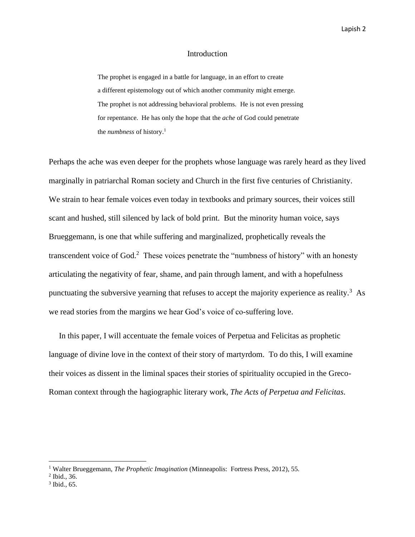#### Introduction

The prophet is engaged in a battle for language, in an effort to create a different epistemology out of which another community might emerge. The prophet is not addressing behavioral problems. He is not even pressing for repentance. He has only the hope that the *ache* of God could penetrate the *numbness* of history.<sup>1</sup>

Perhaps the ache was even deeper for the prophets whose language was rarely heard as they lived marginally in patriarchal Roman society and Church in the first five centuries of Christianity. We strain to hear female voices even today in textbooks and primary sources, their voices still scant and hushed, still silenced by lack of bold print. But the minority human voice, says Brueggemann, is one that while suffering and marginalized, prophetically reveals the transcendent voice of God.<sup>2</sup> These voices penetrate the "numbness of history" with an honesty articulating the negativity of fear, shame, and pain through lament, and with a hopefulness punctuating the subversive yearning that refuses to accept the majority experience as reality.<sup>3</sup> As we read stories from the margins we hear God's voice of co-suffering love.

 In this paper, I will accentuate the female voices of Perpetua and Felicitas as prophetic language of divine love in the context of their story of martyrdom. To do this, I will examine their voices as dissent in the liminal spaces their stories of spirituality occupied in the Greco-Roman context through the hagiographic literary work, *The Acts of Perpetua and Felicitas*.

<sup>1</sup> Walter Brueggemann, *The Prophetic Imagination* (Minneapolis: Fortress Press, 2012), 55.

 $<sup>2</sup>$  Ibid., 36.</sup>

<sup>3</sup> Ibid., 65.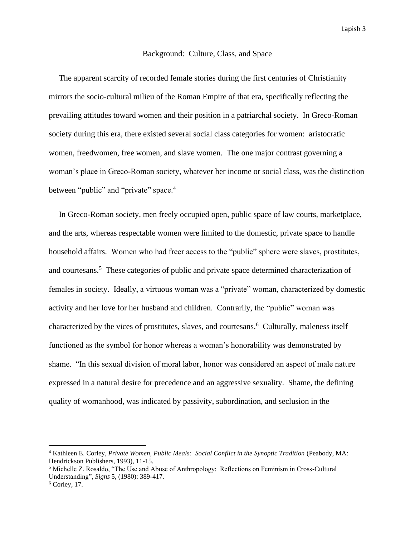### Background: Culture, Class, and Space

 The apparent scarcity of recorded female stories during the first centuries of Christianity mirrors the socio-cultural milieu of the Roman Empire of that era, specifically reflecting the prevailing attitudes toward women and their position in a patriarchal society. In Greco-Roman society during this era, there existed several social class categories for women: aristocratic women, freedwomen, free women, and slave women. The one major contrast governing a woman's place in Greco-Roman society, whatever her income or social class, was the distinction between "public" and "private" space.<sup>4</sup>

 In Greco-Roman society, men freely occupied open, public space of law courts, marketplace, and the arts, whereas respectable women were limited to the domestic, private space to handle household affairs. Women who had freer access to the "public" sphere were slaves, prostitutes, and courtesans.<sup>5</sup> These categories of public and private space determined characterization of females in society. Ideally, a virtuous woman was a "private" woman, characterized by domestic activity and her love for her husband and children. Contrarily, the "public" woman was characterized by the vices of prostitutes, slaves, and courtesans. 6 Culturally, maleness itself functioned as the symbol for honor whereas a woman's honorability was demonstrated by shame. "In this sexual division of moral labor, honor was considered an aspect of male nature expressed in a natural desire for precedence and an aggressive sexuality. Shame, the defining quality of womanhood, was indicated by passivity, subordination, and seclusion in the

<sup>4</sup> Kathleen E. Corley, *Private Women, Public Meals: Social Conflict in the Synoptic Tradition* (Peabody, MA: Hendrickson Publishers, 1993), 11-15.

<sup>5</sup> Michelle Z. Rosaldo, "The Use and Abuse of Anthropology: Reflections on Feminism in Cross-Cultural Understanding", *Signs* 5, (1980): 389-417.

 $6$  Corley, 17.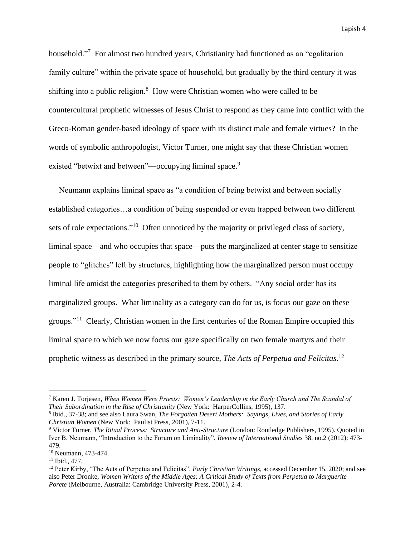household."<sup>7</sup> For almost two hundred years, Christianity had functioned as an "egalitarian family culture" within the private space of household, but gradually by the third century it was shifting into a public religion.<sup>8</sup> How were Christian women who were called to be countercultural prophetic witnesses of Jesus Christ to respond as they came into conflict with the Greco-Roman gender-based ideology of space with its distinct male and female virtues? In the words of symbolic anthropologist, Victor Turner, one might say that these Christian women existed "betwixt and between"—occupying liminal space.<sup>9</sup>

 Neumann explains liminal space as "a condition of being betwixt and between socially established categories…a condition of being suspended or even trapped between two different sets of role expectations."<sup>10</sup> Often unnoticed by the majority or privileged class of society, liminal space—and who occupies that space—puts the marginalized at center stage to sensitize people to "glitches" left by structures, highlighting how the marginalized person must occupy liminal life amidst the categories prescribed to them by others. "Any social order has its marginalized groups. What liminality as a category can do for us, is focus our gaze on these groups."<sup>11</sup> Clearly, Christian women in the first centuries of the Roman Empire occupied this liminal space to which we now focus our gaze specifically on two female martyrs and their prophetic witness as described in the primary source, *The Acts of Perpetua and Felicitas*. 12

<sup>7</sup> Karen J. Torjesen, *When Women Were Priests: Women's Leadership in the Early Church and The Scandal of Their Subordination in the Rise of Christianity* (New York: HarperCollins, 1995), 137.

<sup>8</sup> Ibid., 37-38; and see also Laura Swan, *The Forgotten Desert Mothers: Sayings, Lives, and Stories of Early Christian Women* (New York: Paulist Press, 2001), 7-11.

<sup>&</sup>lt;sup>9</sup> Victor Turner, *The Ritual Process: Structure and Anti-Structure* (London: Routledge Publishers, 1995). Quoted in Iver B. Neumann, "Introduction to the Forum on Liminality", *Review of International Studies* 38, no.2 (2012): 473- 479.

<sup>10</sup> Neumann, 473-474.

 $11$  Ibid., 477.

<sup>12</sup> Peter Kirby, "The Acts of Perpetua and Felicitas", *Early Christian Writings,* accessed December 15, 2020; and see also Peter Dronke, *Women Writers of the Middle Ages: A Critical Study of Texts from Perpetua to Marguerite Porete* (Melbourne, Australia: Cambridge University Press, 2001), 2-4.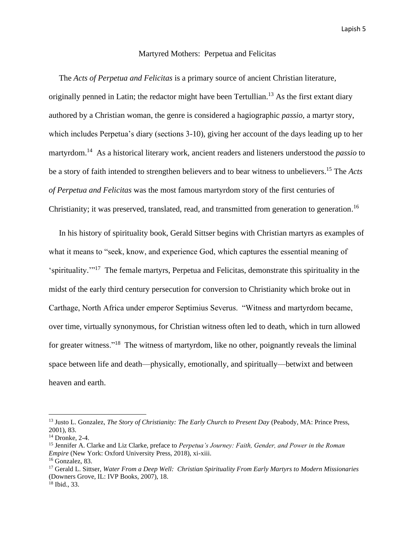### Martyred Mothers: Perpetua and Felicitas

 The *Acts of Perpetua and Felicitas* is a primary source of ancient Christian literature, originally penned in Latin; the redactor might have been Tertullian.<sup>13</sup> As the first extant diary authored by a Christian woman, the genre is considered a hagiographic *passio,* a martyr story, which includes Perpetua's diary (sections 3-10), giving her account of the days leading up to her martyrdom. 14 As a historical literary work, ancient readers and listeners understood the *passio* to be a story of faith intended to strengthen believers and to bear witness to unbelievers. <sup>15</sup> The *Acts of Perpetua and Felicitas* was the most famous martyrdom story of the first centuries of Christianity; it was preserved, translated, read, and transmitted from generation to generation.<sup>16</sup>

 In his history of spirituality book, Gerald Sittser begins with Christian martyrs as examples of what it means to "seek, know, and experience God, which captures the essential meaning of 'spirituality."<sup>17</sup> The female martyrs, Perpetua and Felicitas, demonstrate this spirituality in the midst of the early third century persecution for conversion to Christianity which broke out in Carthage, North Africa under emperor Septimius Severus. "Witness and martyrdom became, over time, virtually synonymous, for Christian witness often led to death, which in turn allowed for greater witness."<sup>18</sup> The witness of martyrdom, like no other, poignantly reveals the liminal space between life and death—physically, emotionally, and spiritually—betwixt and between heaven and earth.

<sup>&</sup>lt;sup>13</sup> Justo L. Gonzalez, *The Story of Christianity: The Early Church to Present Day (Peabody, MA: Prince Press,* 2001), 83.

 $14$  Dronke, 2-4.

<sup>15</sup> Jennifer A. Clarke and Liz Clarke, preface to *Perpetua's Journey: Faith, Gender, and Power in the Roman Empire* (New York: Oxford University Press, 2018), xi-xiii. <sup>16</sup> Gonzalez, 83.

<sup>17</sup> Gerald L. Sittser, *Water From a Deep Well: Christian Spirituality From Early Martyrs to Modern Missionaries*  (Downers Grove, IL: IVP Books, 2007), 18.

<sup>18</sup> Ibid., 33.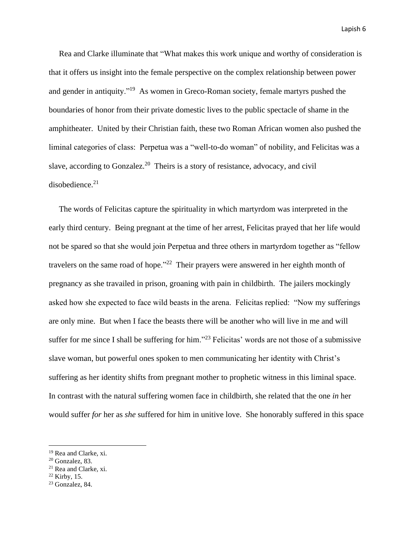Rea and Clarke illuminate that "What makes this work unique and worthy of consideration is that it offers us insight into the female perspective on the complex relationship between power and gender in antiquity."<sup>19</sup> As women in Greco-Roman society, female martyrs pushed the boundaries of honor from their private domestic lives to the public spectacle of shame in the amphitheater. United by their Christian faith, these two Roman African women also pushed the liminal categories of class: Perpetua was a "well-to-do woman" of nobility, and Felicitas was a slave, according to Gonzalez.<sup>20</sup> Theirs is a story of resistance, advocacy, and civil disobedience.<sup>21</sup>

 The words of Felicitas capture the spirituality in which martyrdom was interpreted in the early third century. Being pregnant at the time of her arrest, Felicitas prayed that her life would not be spared so that she would join Perpetua and three others in martyrdom together as "fellow travelers on the same road of hope."<sup>22</sup> Their prayers were answered in her eighth month of pregnancy as she travailed in prison, groaning with pain in childbirth. The jailers mockingly asked how she expected to face wild beasts in the arena. Felicitas replied: "Now my sufferings are only mine. But when I face the beasts there will be another who will live in me and will suffer for me since I shall be suffering for him."<sup>23</sup> Felicitas' words are not those of a submissive slave woman, but powerful ones spoken to men communicating her identity with Christ's suffering as her identity shifts from pregnant mother to prophetic witness in this liminal space. In contrast with the natural suffering women face in childbirth, she related that the one *in* her would suffer *for* her as *she* suffered for him in unitive love. She honorably suffered in this space

<sup>19</sup> Rea and Clarke, xi.

 $20$  Gonzalez, 83.

<sup>21</sup> Rea and Clarke, xi.

 $22$  Kirby, 15.

<sup>&</sup>lt;sup>23</sup> Gonzalez, 84.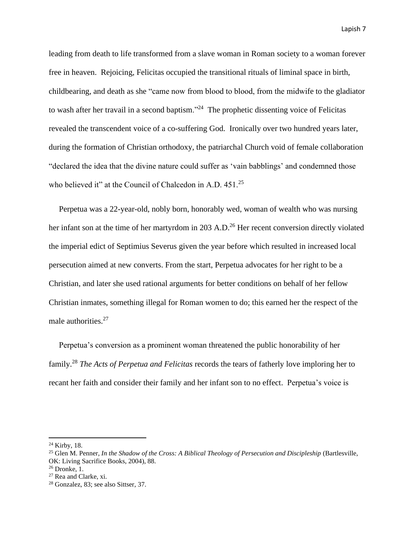leading from death to life transformed from a slave woman in Roman society to a woman forever free in heaven. Rejoicing, Felicitas occupied the transitional rituals of liminal space in birth, childbearing, and death as she "came now from blood to blood, from the midwife to the gladiator to wash after her travail in a second baptism."<sup>24</sup> The prophetic dissenting voice of Felicitas revealed the transcendent voice of a co-suffering God. Ironically over two hundred years later, during the formation of Christian orthodoxy, the patriarchal Church void of female collaboration "declared the idea that the divine nature could suffer as 'vain babblings' and condemned those who believed it" at the Council of Chalcedon in A.D. 451.<sup>25</sup>

 Perpetua was a 22-year-old, nobly born, honorably wed, woman of wealth who was nursing her infant son at the time of her martyrdom in 203 A.D.<sup>26</sup> Her recent conversion directly violated the imperial edict of Septimius Severus given the year before which resulted in increased local persecution aimed at new converts. From the start, Perpetua advocates for her right to be a Christian, and later she used rational arguments for better conditions on behalf of her fellow Christian inmates, something illegal for Roman women to do; this earned her the respect of the male authorities.<sup>27</sup>

 Perpetua's conversion as a prominent woman threatened the public honorability of her family. <sup>28</sup> *The Acts of Perpetua and Felicitas* records the tears of fatherly love imploring her to recant her faith and consider their family and her infant son to no effect. Perpetua's voice is

<sup>24</sup> Kirby, 18.

<sup>&</sup>lt;sup>25</sup> Glen M. Penner, *In the Shadow of the Cross: A Biblical Theology of Persecution and Discipleship (Bartlesville,* OK: Living Sacrifice Books, 2004), 88.

 $26$  Dronke, 1.

<sup>27</sup> Rea and Clarke, xi.

<sup>28</sup> Gonzalez, 83; see also Sittser, 37.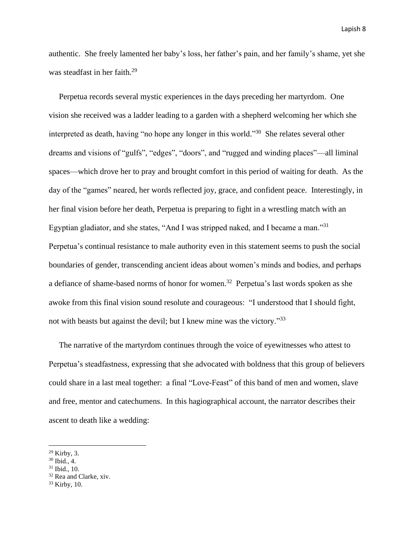authentic. She freely lamented her baby's loss, her father's pain, and her family's shame, yet she was steadfast in her faith.<sup>29</sup>

 Perpetua records several mystic experiences in the days preceding her martyrdom. One vision she received was a ladder leading to a garden with a shepherd welcoming her which she interpreted as death, having "no hope any longer in this world."<sup>30</sup> She relates several other dreams and visions of "gulfs", "edges", "doors", and "rugged and winding places"—all liminal spaces—which drove her to pray and brought comfort in this period of waiting for death. As the day of the "games" neared, her words reflected joy, grace, and confident peace. Interestingly, in her final vision before her death, Perpetua is preparing to fight in a wrestling match with an Egyptian gladiator, and she states, "And I was stripped naked, and I became a man."<sup>31</sup> Perpetua's continual resistance to male authority even in this statement seems to push the social boundaries of gender, transcending ancient ideas about women's minds and bodies, and perhaps a defiance of shame-based norms of honor for women.<sup>32</sup> Perpetua's last words spoken as she awoke from this final vision sound resolute and courageous: "I understood that I should fight, not with beasts but against the devil; but I knew mine was the victory."<sup>33</sup>

 The narrative of the martyrdom continues through the voice of eyewitnesses who attest to Perpetua's steadfastness, expressing that she advocated with boldness that this group of believers could share in a last meal together: a final "Love-Feast" of this band of men and women, slave and free, mentor and catechumens. In this hagiographical account, the narrator describes their ascent to death like a wedding:

<sup>32</sup> Rea and Clarke, xiv.

<sup>29</sup> Kirby, 3.

 $30$  Ibid., 4.

<sup>31</sup> Ibid., 10.

 $33$  Kirby, 10.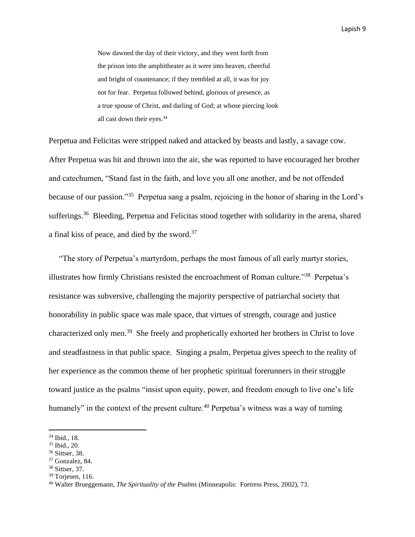Now dawned the day of their victory, and they went forth from the prison into the amphitheater as it were into heaven, cheerful and bright of countenance; if they trembled at all, it was for joy not for fear. Perpetua followed behind, glorious of presence, as a true spouse of Christ, and darling of God; at whose piercing look all cast down their eyes.<sup>34</sup>

Perpetua and Felicitas were stripped naked and attacked by beasts and lastly, a savage cow. After Perpetua was hit and thrown into the air, she was reported to have encouraged her brother and catechumen, "Stand fast in the faith, and love you all one another, and be not offended because of our passion."<sup>35</sup> Perpetua sang a psalm, rejoicing in the honor of sharing in the Lord's sufferings.<sup>36</sup> Bleeding, Perpetua and Felicitas stood together with solidarity in the arena, shared a final kiss of peace, and died by the sword.<sup>37</sup>

 "The story of Perpetua's martyrdom, perhaps the most famous of all early martyr stories, illustrates how firmly Christians resisted the encroachment of Roman culture."<sup>38</sup> Perpetua's resistance was subversive, challenging the majority perspective of patriarchal society that honorability in public space was male space, that virtues of strength, courage and justice characterized only men.<sup>39</sup> She freely and prophetically exhorted her brothers in Christ to love and steadfastness in that public space. Singing a psalm, Perpetua gives speech to the reality of her experience as the common theme of her prophetic spiritual forerunners in their struggle toward justice as the psalms "insist upon equity, power, and freedom enough to live one's life humanely" in the context of the present culture.<sup>40</sup> Perpetua's witness was a way of turning

<sup>34</sup> Ibid., 18.

<sup>35</sup> Ibid., 20.

<sup>36</sup> Sittser, 38.

<sup>37</sup> Gonzalez, 84.

<sup>38</sup> Sittser, 37.

 $39$  Torjesen, 116.

<sup>40</sup> Walter Brueggemann, *The Spirituality of the Psalms* (Minneapolis: Fortress Press, 2002), 73.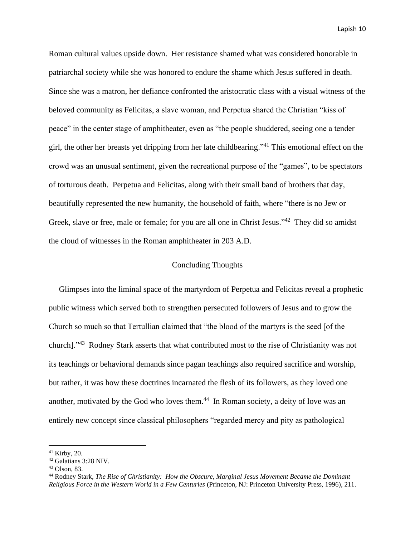Roman cultural values upside down. Her resistance shamed what was considered honorable in patriarchal society while she was honored to endure the shame which Jesus suffered in death. Since she was a matron, her defiance confronted the aristocratic class with a visual witness of the beloved community as Felicitas, a slave woman, and Perpetua shared the Christian "kiss of peace" in the center stage of amphitheater, even as "the people shuddered, seeing one a tender girl, the other her breasts yet dripping from her late childbearing."<sup>41</sup> This emotional effect on the crowd was an unusual sentiment, given the recreational purpose of the "games", to be spectators of torturous death. Perpetua and Felicitas, along with their small band of brothers that day, beautifully represented the new humanity, the household of faith, where "there is no Jew or Greek, slave or free, male or female; for you are all one in Christ Jesus."<sup>42</sup> They did so amidst the cloud of witnesses in the Roman amphitheater in 203 A.D.

# Concluding Thoughts

 Glimpses into the liminal space of the martyrdom of Perpetua and Felicitas reveal a prophetic public witness which served both to strengthen persecuted followers of Jesus and to grow the Church so much so that Tertullian claimed that "the blood of the martyrs is the seed [of the church]."<sup>43</sup> Rodney Stark asserts that what contributed most to the rise of Christianity was not its teachings or behavioral demands since pagan teachings also required sacrifice and worship, but rather, it was how these doctrines incarnated the flesh of its followers, as they loved one another, motivated by the God who loves them. $44$  In Roman society, a deity of love was an entirely new concept since classical philosophers "regarded mercy and pity as pathological

<sup>41</sup> Kirby, 20.

<sup>42</sup> Galatians 3:28 NIV.

<sup>43</sup> Olson, 83.

<sup>44</sup> Rodney Stark, *The Rise of Christianity: How the Obscure, Marginal Jesus Movement Became the Dominant Religious Force in the Western World in a Few Centuries* (Princeton, NJ: Princeton University Press, 1996), 211.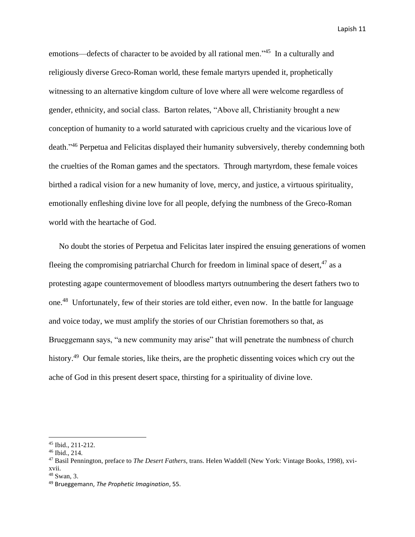emotions—defects of character to be avoided by all rational men."<sup>45</sup> In a culturally and religiously diverse Greco-Roman world, these female martyrs upended it, prophetically witnessing to an alternative kingdom culture of love where all were welcome regardless of gender, ethnicity, and social class. Barton relates, "Above all, Christianity brought a new conception of humanity to a world saturated with capricious cruelty and the vicarious love of death."<sup>46</sup> Perpetua and Felicitas displayed their humanity subversively, thereby condemning both the cruelties of the Roman games and the spectators. Through martyrdom, these female voices birthed a radical vision for a new humanity of love, mercy, and justice, a virtuous spirituality, emotionally enfleshing divine love for all people, defying the numbness of the Greco-Roman world with the heartache of God.

 No doubt the stories of Perpetua and Felicitas later inspired the ensuing generations of women fleeing the compromising patriarchal Church for freedom in liminal space of desert, <sup>47</sup> as a protesting agape countermovement of bloodless martyrs outnumbering the desert fathers two to one.<sup>48</sup> Unfortunately, few of their stories are told either, even now. In the battle for language and voice today, we must amplify the stories of our Christian foremothers so that, as Brueggemann says, "a new community may arise" that will penetrate the numbness of church history.<sup>49</sup> Our female stories, like theirs, are the prophetic dissenting voices which cry out the ache of God in this present desert space, thirsting for a spirituality of divine love.

<sup>45</sup> Ibid., 211-212.

<sup>46</sup> Ibid., 214.

<sup>47</sup> Basil Pennington, preface to *The Desert Fathers,* trans. Helen Waddell (New York: Vintage Books, 1998), xvixvii.

<sup>48</sup> Swan, 3.

<sup>49</sup> Brueggemann, *The Prophetic Imagination*, 55.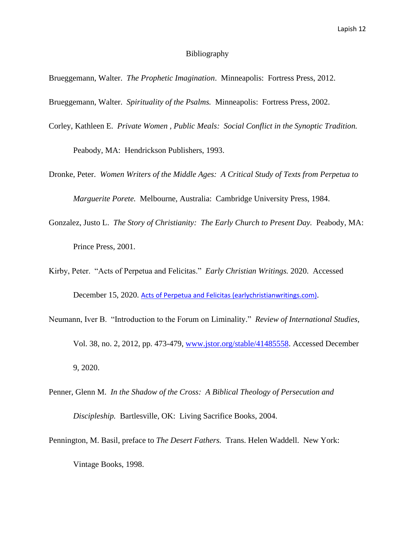### Bibliography

- Brueggemann, Walter. *The Prophetic Imagination*. Minneapolis: Fortress Press, 2012.
- Brueggemann, Walter. *Spirituality of the Psalms.* Minneapolis: Fortress Press, 2002.
- Corley, Kathleen E. *Private Women , Public Meals: Social Conflict in the Synoptic Tradition.*

Peabody, MA: Hendrickson Publishers, 1993.

- Dronke, Peter. *Women Writers of the Middle Ages: A Critical Study of Texts from Perpetua to Marguerite Porete.* Melbourne, Australia: Cambridge University Press, 1984.
- Gonzalez, Justo L. *The Story of Christianity: The Early Church to Present Day.* Peabody, MA: Prince Press, 2001.
- Kirby, Peter. "Acts of Perpetua and Felicitas." *Early Christian Writings.* 2020. Accessed December 15, 2020. [Acts of Perpetua and Felicitas \(earlychristianwritings.com\)](http://www.earlychristianwritings.com/text/perpetua.html).
- Neumann, Iver B. "Introduction to the Forum on Liminality." *Review of International Studies,* Vol. 38, no. 2, 2012, pp. 473-479, [www.jstor.org/stable/41485558.](http://www.jstor.org/stable/41485558) Accessed December 9, 2020.
- Penner, Glenn M. *In the Shadow of the Cross: A Biblical Theology of Persecution and Discipleship.* Bartlesville, OK: Living Sacrifice Books, 2004.
- Pennington, M. Basil, preface to *The Desert Fathers.* Trans. Helen Waddell. New York: Vintage Books, 1998.